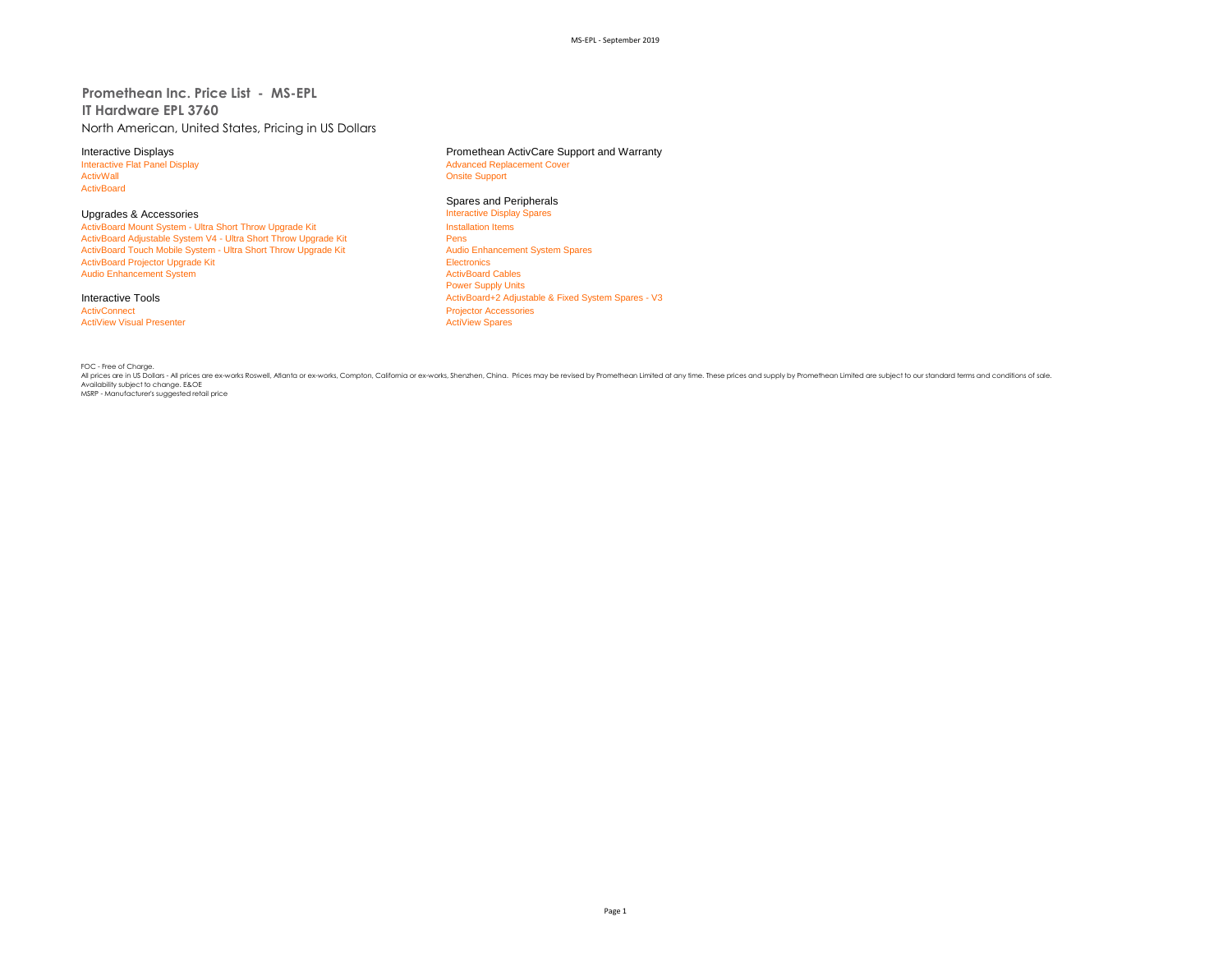**Promethean Inc. Price List - MS-EPL IT Hardware EPL 3760** North American, United States, Pricing in US Dollars

ActivBoard

Upgrades & Accessories **Interactive Display Spares Accessories** Interactive Display<br>
ActivBoard Mount System - Ultra Short Throw Upgrade Kit **Interactive Display Spares Installation** Items ActivBoard Mount System - Ultra Short Throw Upgrade Kit Install<br>ActivBoard Adjustable System V4 - Ultra Short Throw Upgrade Kit Install ActivBoard Adjustable System V4 - Ultra Short Throw Upgrade Kit Pens<br>
Pens Persi ActivBoard Touch Mobile System - Ultra Short Throw Upgrade Kit Pens Pens Audio Enhancement System Spares ActivBoard Touch Mobile System - Ultra Short Throw Upgrade Kit ActivBoard Projector Upgrade Kit Electronics<br>
Audio Enhancement System<br>
ActivBoard Cables Audio Enhancement System

ActivConnect<br>
ActiView Visual Presenter<br>
ActiView Spares<br>
ActiView Spares **ActiView Visual Presenter** 

Interactive Displays<br>
Interactive Flat Panel Display<br> **Interactive Flat Panel Display**<br> **Advanced Replacement Cover** Interactive Flat Panel Display and The Supervisor of Advanced Replacement Cover<br>
Advanced Replacement Cover<br>
Advanced Replacement Cover **Onsite Support** 

# Spares and Peripherals<br>Interactive Display Spares

Power Supply Units Interactive Tools **Activ Example 2 Adjustable & Fixed System Spares - V3** ActivBoard+2 Adjustable & Fixed System Spares - V3

FOC - Free of Charge. All prices are in US Dollars - All prices are ex-works Roswell, Atlanta or ex-works, Compton, California or ex-works, Shenzhen, China. Prices may be revised by Promethean Limited at any time. These prices and supply by Promethean Limited are subject to our standard terms and conditions of sale. Availability subject to change. E&OE MSRP - Manufacturer's suggested retail price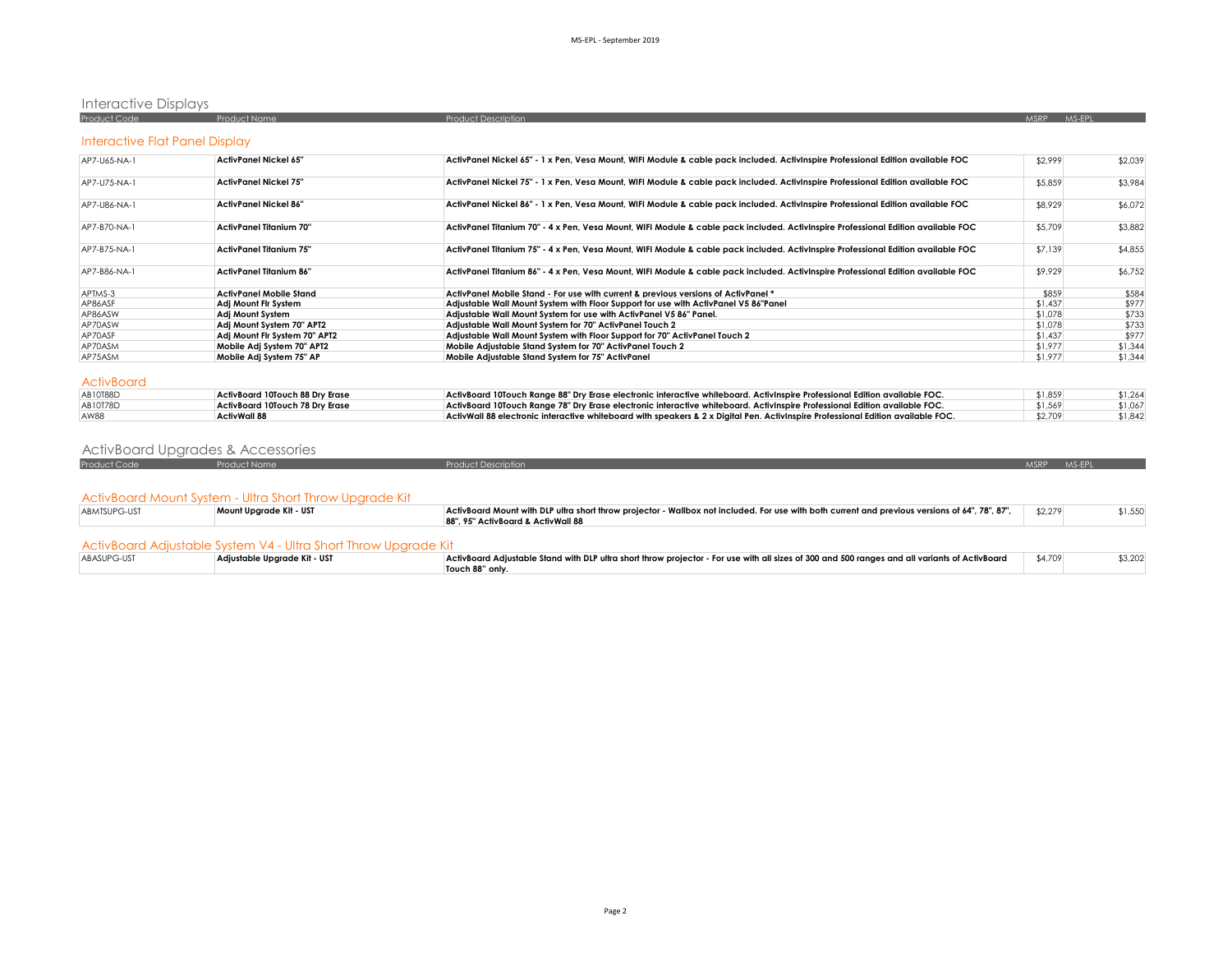# Interactive Displays

| <b>Product Code</b>            | <b>Product Name</b>                    | <b>Product Description</b>                                                                                                        | MSRP MS-EPL |         |
|--------------------------------|----------------------------------------|-----------------------------------------------------------------------------------------------------------------------------------|-------------|---------|
| Interactive Flat Panel Display |                                        |                                                                                                                                   |             |         |
| AP7-U65-NA-1                   | <b>ActivPanel Nickel 65"</b>           | ActivPanel Nickel 65" - 1 x Pen, Vesa Mount, WIFI Module & cable pack included. ActivInspire Professional Edition available FOC   | \$2,999     | \$2,039 |
| AP7-U75-NA-1                   | <b>ActivPanel Nickel 75"</b>           | ActivPanel Nickel 75" - 1 x Pen, Vesa Mount, WIFI Module & cable pack included. ActivInspire Professional Edition available FOC   | \$5,859     | \$3,984 |
| AP7-U86-NA-1                   | <b>ActivPanel Nickel 86"</b>           | ActivPanel Nickel 86" - 1 x Pen, Vesa Mount, WIFI Module & cable pack included. ActivInspire Professional Edition available FOC   | \$8,929     | \$6,072 |
| AP7-B70-NA-1                   | <b>ActivPanel Titanium 70"</b>         | ActivPanel Titanium 70" - 4 x Pen, Vesa Mount, WIFI Module & cable pack included. ActivInspire Professional Edition available FOC | \$5,709     | \$3,882 |
| AP7-B75-NA-1                   | <b>ActivPanel Titanium 75"</b>         | ActivPanel Titanium 75" - 4 x Pen, Vesa Mount, WIFI Module & cable pack included. ActivInspire Professional Edition available FOC | \$7,139     | \$4,855 |
| AP7-B86-NA-1                   | ActivPanel Titanium 86"                | ActivPanel Titanium 86" - 4 x Pen, Vesa Mount, WIFI Module & cable pack included. ActivInspire Professional Edition available FOC | \$9,929     | \$6,752 |
| APTMS-3                        | <b>ActivPanel Mobile Stand</b>         | ActivPanel Mobile Stand - For use with current & previous versions of ActivPanel *                                                | \$859       | \$584   |
| AP86ASF                        | Adi Mount Fir System                   | Adjustable Wall Mount System with Floor Support for use with ActivPanel V5 86"Panel                                               | \$1,437     | \$977   |
| AP86ASW                        | Adj Mount System                       | Adjustable Wall Mount System for use with ActivPanel V5 86" Panel.                                                                | \$1,078     | \$733   |
| AP70ASW                        | Adi Mount System 70" APT2              | Adiustable Wall Mount System for 70" ActivPanel Touch 2                                                                           | \$1,078     | \$733   |
| AP70ASF                        | Adj Mount Fir System 70" APT2          | Adjustable Wall Mount System with Floor Support for 70" ActivPanel Touch 2                                                        | \$1,437     | \$977   |
| AP70ASM                        | Mobile Adj System 70" APT2             | Mobile Adiustable Stand System for 70" ActivPanel Touch 2                                                                         | \$1,977     | \$1,344 |
| AP75ASM                        | Mobile Adi System 75" AP               | Mobile Adiustable Stand System for 75" ActivPanel                                                                                 | \$1,977     | \$1,344 |
| <b>ActivBoard</b>              |                                        |                                                                                                                                   |             |         |
| AB10T88D                       | ActivBoard 10Touch 88 Dry Erase        | ActivBoard 10Touch Range 88" Dry Erase electronic interactive whiteboard. ActivInspire Professional Edition available FOC.        | \$1,859     | \$1,264 |
| AB10T78D                       | <b>ActivBoard 10Touch 78 Drv Erase</b> | ActivBoard 10Touch Range 78" Dry Erase electronic interactive whiteboard. ActivInspire Professional Edition available FOC.        | \$1,569     | \$1,067 |
| AW88                           | <b>ActivWall 88</b>                    | ActivWall 88 electronic interactive whiteboard with speakers & 2 x Digital Pen. ActivInspire Professional Edition available FOC.  | \$2.709     | \$1,842 |

### ActivBoard Upgrades & Accessories

| Product Code | <b>Product Name</b>                                             | <b>Product Description</b>                                                                                                                      | <b>MSRP</b> | MS-EPL  |
|--------------|-----------------------------------------------------------------|-------------------------------------------------------------------------------------------------------------------------------------------------|-------------|---------|
|              |                                                                 |                                                                                                                                                 |             |         |
|              |                                                                 |                                                                                                                                                 |             |         |
|              | ActivBoard Mount System - Ultra Short Throw Upgrade Kit         |                                                                                                                                                 |             |         |
| ABMTSUPG-UST | Mount Upgrade Kit - UST                                         | ActivBoard Mount with DLP ultra short throw projector - Wallbox not included. For use with both current and previous versions of 64", 78", 87", | \$2,279     | \$1,550 |
|              |                                                                 | 88", 95" ActivBoard & ActivWall 88                                                                                                              |             |         |
|              |                                                                 |                                                                                                                                                 |             |         |
|              | ActivBoard Adjustable System V4 - Ultra Short Throw Upgrade Kit |                                                                                                                                                 |             |         |
| ABASUPG-UST  | Adjustable Upgrade Kit - UST                                    | ActivBoard Adjustable Stand with DLP ultra short throw projector - For use with all sizes of 300 and 500 ranges and all variants of ActivBoard  | \$4,709     | \$3,202 |
|              |                                                                 | Touch 88" only.                                                                                                                                 |             |         |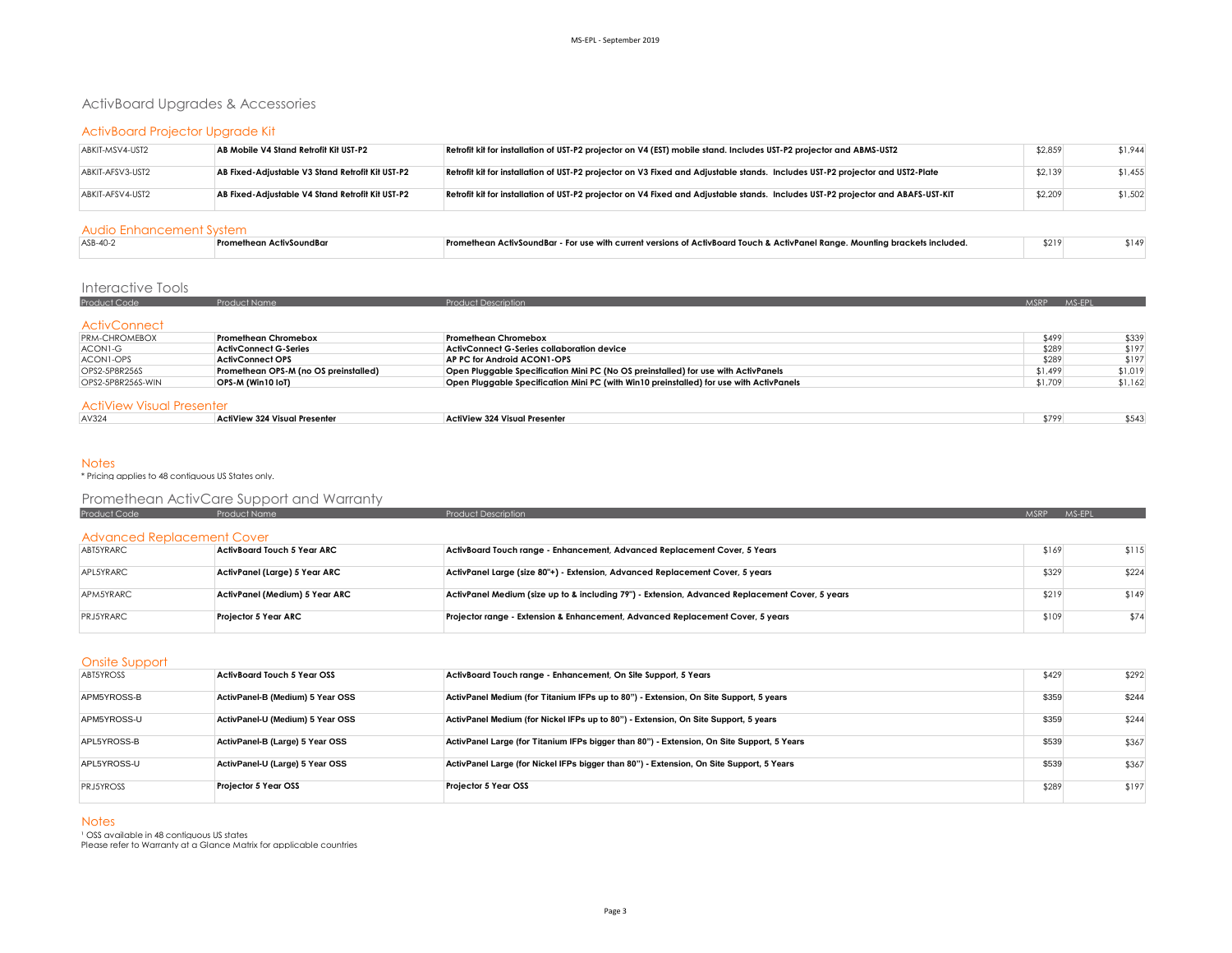### ActivBoard Upgrades & Accessories

### ActivBoard Projector Upgrade Kit

| ABKIT-MSV4-UST2  | AB Mobile V4 Stand Retrofit Kit UST-P2           | Retrofit kit for installation of UST-P2 projector on V4 (EST) mobile stand. Includes UST-P2 projector and ABMS-UST2              | \$2,859 | \$1.944 |
|------------------|--------------------------------------------------|----------------------------------------------------------------------------------------------------------------------------------|---------|---------|
| ABKIT-AFSV3-UST2 | AB Fixed-Adjustable V3 Stand Retrofit Kit UST-P2 | Retrofit kit for installation of UST-P2 projector on V3 Fixed and Adjustable stands. Includes UST-P2 projector and UST2-Plate    | \$2,139 | \$1,455 |
| ABKIT-AFSV4-UST2 | AB Fixed-Adjustable V4 Stand Retrofit Kit UST-P2 | Retrofit kit for installation of UST-P2 projector on V4 Fixed and Adjustable stands. Includes UST-P2 projector and ABAFS-UST-KIT | \$2,209 | \$1,502 |

### Audio Enhancement System

| ASB-40- | vSoundBo | - Promethean ActivSoundBar - For use with current versions of ActivBoard Touch & ActivPanel Range. Mounting brackets included. | \$219 | 1149 |
|---------|----------|--------------------------------------------------------------------------------------------------------------------------------|-------|------|
|         |          |                                                                                                                                |       |      |

### Interactive Tools

| <b>Product Code</b>  | <b>Product Name</b>          | <b>Product Description</b>                 | <b>MSRP</b> | MS-EPL |
|----------------------|------------------------------|--------------------------------------------|-------------|--------|
|                      |                              |                                            |             |        |
| ActivConnect         |                              |                                            |             |        |
| <b>PRM-CHROMEBOX</b> | <b>Promethean Chromebox</b>  | <b>Promethean Chromebox</b>                | \$499       | \$339  |
| ACON1-G              | <b>ActivConnect G-Series</b> | ActivConnect G-Series collaboration device | \$289       | \$197  |
| ACON1-OPS            | ActivConnect OPS             | AP PC for Android ACON1-OPS                | \$289       | \$197  |

#### ActiView Visual Presenter

| .     |                               |                               |       |  |
|-------|-------------------------------|-------------------------------|-------|--|
| AV324 | ActiView 324 Visual Presenter | ActiView 324 Visual Presenter | \$799 |  |
|       |                               |                               |       |  |

OPS2-5P8R256S **Promethean OPS-M (no OS preinstalled) Open Pluggable Specification Mini PC (No OS preinstalled) for use with ActivPanels CHOSEN STARE ACTIVE ACTIVE ACTIVE ACTIVE ACTIVE ACTIVE ACTIVE ACTIVE ACTIVE ACTIVE** 

Open Pluggable Specification Mini PC (with Win10 preinstalled) for use with ActivPanels **\$1,709** \$1,162

### **Notes**

\* Pricing applies to 48 contiguous US States only.

# Promethean ActivCare Support and Warranty<br>Product Code Product Name

| <b>Product Code</b>        | Product Name                   | <b>Product Description</b>                                                                      | <b>MSRP</b> | <b>MS-EPL</b> |
|----------------------------|--------------------------------|-------------------------------------------------------------------------------------------------|-------------|---------------|
| Advanced Replacement Cover |                                |                                                                                                 |             |               |
| ABT5YRARC                  | ActivBoard Touch 5 Year ARC    | ActivBoard Touch range - Enhancement, Advanced Replacement Cover, 5 Years                       | \$169       | \$115         |
| APL5YRARC                  | ActivPanel (Large) 5 Year ARC  | ActivPanel Large (size 80"+) - Extension, Advanced Replacement Cover, 5 years                   | \$329       | \$224         |
| APM5YRARC                  | ActivPanel (Medium) 5 Year ARC | ActivPanel Medium (size up to & including 79") - Extension, Advanced Replacement Cover, 5 years | \$219       | \$149         |
| <b>PRJ5YRARC</b>           | Projector 5 Year ARC           | Projector range - Extension & Enhancement, Advanced Replacement Cover, 5 years                  | \$109       | \$74          |

### Onsite Support

| <b>ABT5YROSS</b> | <b>ActivBoard Touch 5 Year OSS</b> | ActivBoard Touch range - Enhancement, On Site Support, 5 Years                             | \$429 | \$292 |
|------------------|------------------------------------|--------------------------------------------------------------------------------------------|-------|-------|
| APM5YROSS-B      | ActivPanel-B (Medium) 5 Year OSS   | ActivPanel Medium (for Titanium IFPs up to 80") - Extension, On Site Support, 5 years      | \$359 | \$244 |
| APM5YROSS-U      | ActivPanel-U (Medium) 5 Year OSS   | ActivPanel Medium (for Nickel IFPs up to 80") - Extension, On Site Support, 5 years        | \$359 | \$244 |
| APL5YROSS-B      | ActivPanel-B (Large) 5 Year OSS    | ActivPanel Large (for Titanium IFPs bigger than 80") - Extension, On Site Support, 5 Years | \$539 | \$367 |
| APL5YROSS-U      | ActivPanel-U (Large) 5 Year OSS    | ActivPanel Large (for Nickel IFPs bigger than 80") - Extension, On Site Support, 5 Years   | \$539 | \$367 |
| <b>PRJ5YROSS</b> | Projector 5 Year OSS               | Projector 5 Year OSS                                                                       | \$289 | \$197 |

**Notes** 

<sup>1</sup> OSS available in 48 contiguous US states Please refer to Warranty at a Glance Matrix for applicable countries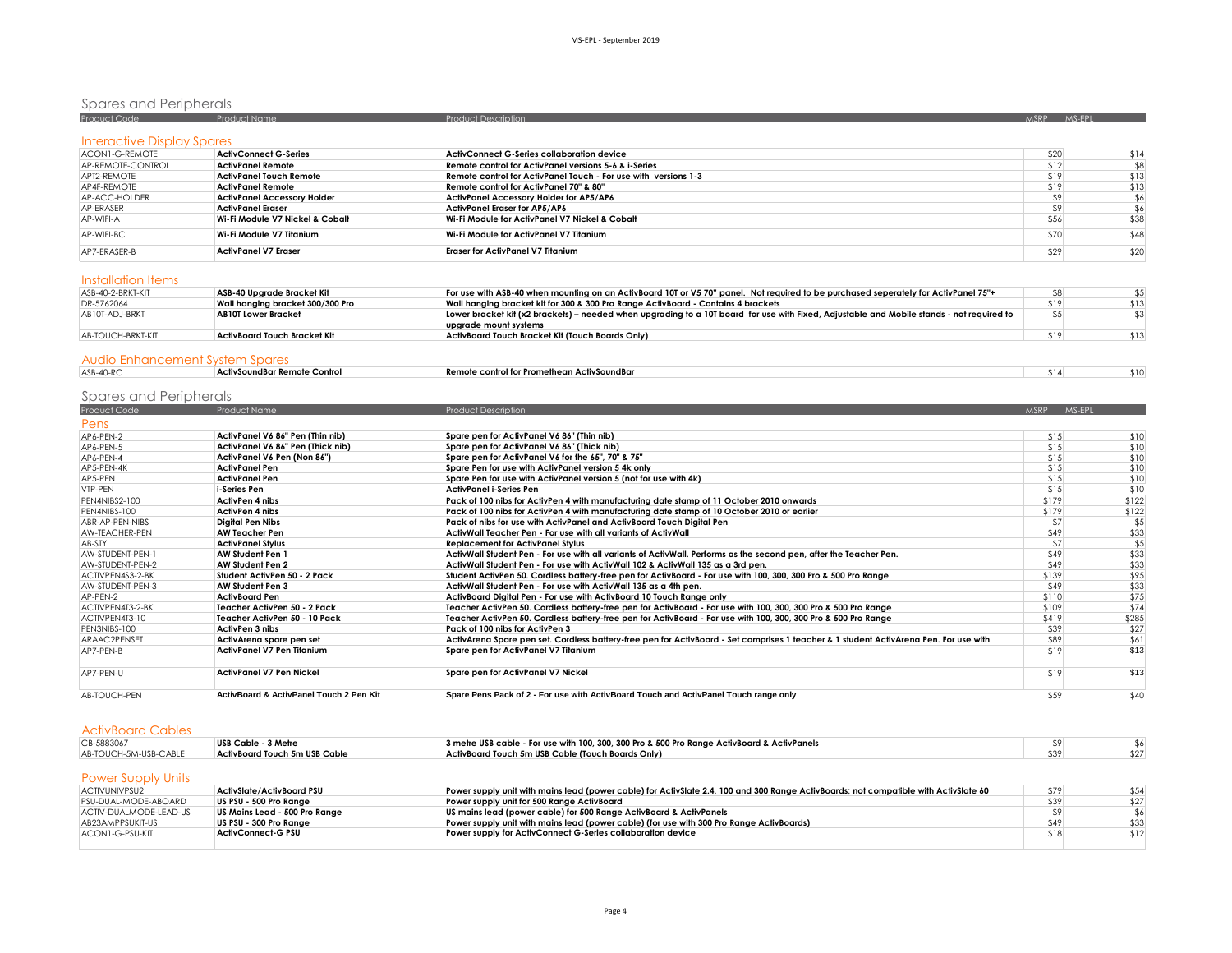# Spares and Peripherals<br>Product Code Product Name Product Name Product Description Product Description Assembly of the Second MSRP MS-

| Interactive Display Spares |                                    |                                                                 |      |      |
|----------------------------|------------------------------------|-----------------------------------------------------------------|------|------|
| ACON1-G-REMOTE             | <b>ActivConnect G-Series</b>       | ActivConnect G-Series collaboration device                      | \$20 | \$14 |
| AP-REMOTE-CONTROL          | ActivPanel Remote                  | Remote control for ActivPanel versions 5-6 & i-Series           | \$12 | \$8  |
| APT2-REMOTE                | <b>ActivPanel Touch Remote</b>     | Remote control for ActivPanel Touch - For use with versions 1-3 | \$19 | \$13 |
| AP4F-REMOTE                | <b>ActivPanel Remote</b>           | Remote control for ActivPanel 70" & 80"                         | \$19 | \$13 |
| AP-ACC-HOLDER              | <b>ActivPanel Accessory Holder</b> | <b>ActivPanel Accessory Holder for AP5/AP6</b>                  | \$9  |      |
| AP-ERASER                  | <b>ActivPanel Eraser</b>           | ActivPanel Eraser for AP5/AP6                                   |      | \$6  |
| AP-WIFI-A                  | Wi-Fi Module V7 Nickel & Cobalt    | Wi-Fi Module for ActivPanel V7 Nickel & Cobalt                  | \$56 | \$38 |
| AP-WIFI-BC                 | Wi-Fi Module V7 Titanium           | Wi-Fi Module for ActivPanel V7 Titanium                         | \$70 | \$48 |
| AP7-FRASFR-B               | <b>ActivPanel V7 Eraser</b>        | <b>Eraser for ActivPanel V7 Titanium</b>                        | \$29 | \$20 |

### Installation Items

| ASB-40-2-BRKT-KIT | ASB-40 Uparade Bracket Kit       | For use with ASB-40 when mounting on an ActivBoard 10T or V5 70" panel. Not required to be purchased seperately for ActivPanel 75"+       |      |      |
|-------------------|----------------------------------|-------------------------------------------------------------------------------------------------------------------------------------------|------|------|
| DR-5762064        | Wall hanging bracket 300/300 Pro | Wall hanging bracket kit for 300 & 300 Pro Range ActivBoard - Contains 4 brackets                                                         | \$19 | \$13 |
| AB10T-ADJ-BRKT    | <b>AB10T Lower Bracket</b>       | Lower bracket kit (x2 brackets) – needed when upgrading to a 10T board for use with Fixed, Adjustable and Mobile stands - not required to |      |      |
|                   |                                  | uparade mount systems                                                                                                                     |      |      |
| AB-TOUCH-BRKT-KIT | ActivBoard Touch Bracket Kit     | ActivBoard Touch Bracket Kit (Touch Boards Only)                                                                                          | \$19 | \$13 |
|                   |                                  |                                                                                                                                           |      |      |
|                   |                                  |                                                                                                                                           |      |      |

### Audio Enhancement System Spares

| ASB-40-RC | e Control<br>r Remote i<br>  ActivSoundBar<br>. | Remote control for Prom<br>methean ActivSoundBar<br>. | \$14 |  |
|-----------|-------------------------------------------------|-------------------------------------------------------|------|--|
|           |                                                 |                                                       |      |  |

# Spares and Peripherals

| Product Code     | <b>Product Name</b>                                | <b>Product Description</b>                                                                                                            | MSRP MS-EPL |       |
|------------------|----------------------------------------------------|---------------------------------------------------------------------------------------------------------------------------------------|-------------|-------|
| Pens             |                                                    |                                                                                                                                       |             |       |
| AP6-PEN-2        | ActivPanel V6 86" Pen (Thin nib)                   | Spare pen for ActivPanel V6 86" (Thin nib)                                                                                            | \$15        | \$10  |
| AP6-PEN-5        | ActivPanel V6 86" Pen (Thick nib)                  | Spare pen for ActivPanel V6 86" (Thick nib)                                                                                           | \$15        | \$10  |
| AP6-PEN-4        | ActivPanel V6 Pen (Non 86")                        | Spare pen for ActivPanel V6 for the 65", 70" & 75"                                                                                    | \$15        | \$10  |
| AP5-PEN-4K       | <b>ActivPanel Pen</b>                              | Spare Pen for use with ActivPanel version 5 4k only                                                                                   | \$15        | \$10  |
| AP5-PEN          | <b>ActivPanel Pen</b>                              | Spare Pen for use with ActivPanel version 5 (not for use with 4k)                                                                     | \$15        | \$10  |
| VTP-PEN          | i-Series Pen                                       | ActivPanel i-Series Pen                                                                                                               | \$15        | \$10  |
| PEN4NIBS2-100    | <b>ActivPen 4 nibs</b>                             | Pack of 100 nibs for ActivPen 4 with manufacturing date stamp of 11 October 2010 onwards                                              | \$179       | \$122 |
| PEN4NIBS-100     | <b>ActivPen 4 nibs</b>                             | Pack of 100 nibs for ActivPen 4 with manufacturing date stamp of 10 October 2010 or earlier                                           | \$179       | \$122 |
| ABR-AP-PEN-NIBS  | Digital Pen Nibs                                   | Pack of nibs for use with ActivPanel and ActivBoard Touch Digital Pen                                                                 | \$7         | \$5   |
| AW-TEACHER-PEN   | <b>AW Teacher Pen</b>                              | ActivWall Teacher Pen - For use with all variants of ActivWall                                                                        | \$49        | \$33  |
| AB-STY           | <b>ActivPanel Stylus</b>                           | <b>Replacement for ActivPanel Stylus</b>                                                                                              | \$7         | \$5   |
| AW-STUDENT-PEN-1 | <b>AW Student Pen 1</b>                            | ActivWall Student Pen - For use with all variants of ActivWall. Performs as the second pen, after the Teacher Pen.                    | \$49        | \$33  |
| AW-STUDENT-PEN-2 | AW Student Pen 2                                   | ActivWall Student Pen - For use with ActivWall 102 & ActivWall 135 as a 3rd pen.                                                      | \$49        | \$33  |
| ACTIVPEN4S3-2-BK | Student ActivPen 50 - 2 Pack                       | Student ActivPen 50. Cordless battery-free pen for ActivBoard - For use with 100, 300, 300 Pro & 500 Pro Range                        | \$139       | \$95  |
| AW-STUDENT-PEN-3 | AW Student Pen 3                                   | ActivWall Student Pen - For use with ActivWall 135 as a 4th pen.                                                                      | \$49        | \$33  |
| AP-PEN-2         | <b>ActivBoard Pen</b>                              | ActivBoard Digital Pen - For use with ActivBoard 10 Touch Range only                                                                  | \$110       | \$75  |
| ACTIVPEN4T3-2-BK | Teacher ActivPen 50 - 2 Pack                       | Teacher ActivPen 50. Cordless battery-free pen for ActivBoard - For use with 100, 300, 300 Pro & 500 Pro Range                        | \$109       | \$74  |
| ACTIVPEN4T3-10   | Teacher ActivPen 50 - 10 Pack                      | Teacher ActivPen 50, Cordless battery-free pen for ActivBoard - For use with 100, 300, 300 Pro & 500 Pro Range                        | \$419       | \$285 |
| PEN3NIBS-100     | ActivPen 3 nibs                                    | Pack of 100 nibs for ActivPen 3                                                                                                       | \$39        | \$27  |
| ARAAC2PENSET     | ActivArena spare pen set                           | ActivArena Spare pen set. Cordless battery-free pen for ActivBoard - Set comprises 1 teacher & 1 student ActivArena Pen. For use with | \$89        | \$61  |
| AP7-PFN-B        | ActivPanel V7 Pen Titanium                         | Spare pen for ActivPanel V7 Titanium                                                                                                  | \$19        | \$13  |
| AP7-PFN-U        | <b>ActivPanel V7 Pen Nickel</b>                    | Spare pen for ActivPanel V7 Nickel                                                                                                    | \$19        | \$13  |
| AB-TOUCH-PEN     | <b>ActivBoard &amp; ActivPanel Touch 2 Pen Kit</b> | Spare Pens Pack of 2 - For use with ActivBoard Touch and ActivPanel Touch range only                                                  | \$59        | \$40  |

### ActivBoard Cables

| CB-5883067            | USB Cable - 3 Metre           | 3 metre USB cable - For use with 100, 300, 300 Pro & 500 Pro Range ActivBoard & ActivPanels |  |
|-----------------------|-------------------------------|---------------------------------------------------------------------------------------------|--|
| AB-TOUCH-5M-USB-CABLE | ActivBoard Touch 5m USB Cable | ActivBoard Touch 5m USB Cable (Touch Boards Only)                                           |  |

### Power Supply Units

| ACTIVUNIVPSU2          | ActivSlate/ActivBoard PSU     | Power supply unit with mains lead (power cable) for ActivSlate 2.4, 100 and 300 Range ActivBoards; not compatible with ActivSlate 60 | \$79 | \$54 |
|------------------------|-------------------------------|--------------------------------------------------------------------------------------------------------------------------------------|------|------|
| PSU-DUAL-MODE-ABOARD   | US PSU - 500 Pro Range        | Power supply unit for 500 Range ActivBoard                                                                                           | \$39 | \$27 |
| ACTIV-DUALMODE-LEAD-US | US Mains Lead - 500 Pro Range | US mains lead (power cable) for 500 Range ActivBoard & ActivPanels                                                                   |      |      |
| AB23AMPPSUKIT-US       | US PSU - 300 Pro Range        | Power supply unit with mains lead (power cable) (for use with 300 Pro Range ActivBoards)                                             | \$49 | \$33 |
| ACON1-G-PSU-KIT        | ActivConnect-G PSU            | Power supply for ActivConnect G-Series collaboration device                                                                          | \$18 | \$12 |
|                        |                               |                                                                                                                                      |      |      |